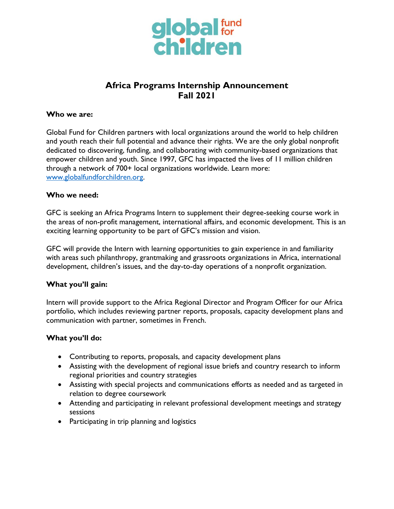

# **Africa Programs Internship Announcement Fall 2021**

#### **Who we are:**

Global Fund for Children partners with local organizations around the world to help children and youth reach their full potential and advance their rights. We are the only global nonprofit dedicated to discovering, funding, and collaborating with community-based organizations that empower children and youth. Since 1997, GFC has impacted the lives of 11 million children through a network of 700+ local organizations worldwide. Learn more: [www.globalfundforchildren.org.](http://www.globalfundforchildren.org/)

#### **Who we need:**

GFC is seeking an Africa Programs Intern to supplement their degree-seeking course work in the areas of non-profit management, international affairs, and economic development. This is an exciting learning opportunity to be part of GFC's mission and vision.

GFC will provide the Intern with learning opportunities to gain experience in and familiarity with areas such philanthropy, grantmaking and grassroots organizations in Africa, international development, children's issues, and the day-to-day operations of a nonprofit organization.

### **What you'll gain:**

Intern will provide support to the Africa Regional Director and Program Officer for our Africa portfolio, which includes reviewing partner reports, proposals, capacity development plans and communication with partner, sometimes in French.

### **What you'll do:**

- Contributing to reports, proposals, and capacity development plans
- Assisting with the development of regional issue briefs and country research to inform regional priorities and country strategies
- Assisting with special projects and communications efforts as needed and as targeted in relation to degree coursework
- Attending and participating in relevant professional development meetings and strategy sessions
- Participating in trip planning and logistics